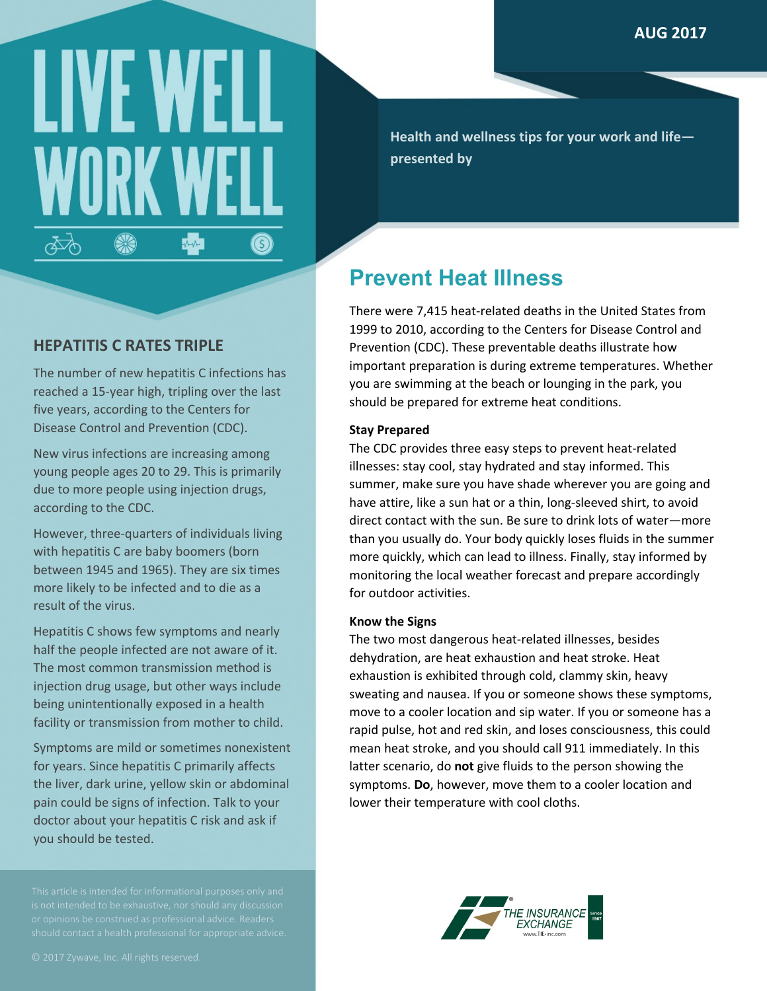# LIVE W 4  $\sqrt{2}$  $\circledS$ ക്ക്

**Health and wellness tips for your work and life presented by**

## **Prevent Heat Illness**

There were 7,415 heat-related deaths in the United States from 1999 to 2010, according to the Centers for Disease Control and Prevention (CDC). These preventable deaths illustrate how important preparation is during extreme temperatures. Whether you are swimming at the beach or lounging in the park, you should be prepared for extreme heat conditions.

### **Stay Prepared**

The CDC provides three easy steps to prevent heat-related illnesses: stay cool, stay hydrated and stay informed. This summer, make sure you have shade wherever you are going and have attire, like a sun hat or a thin, long-sleeved shirt, to avoid direct contact with the sun. Be sure to drink lots of water—more than you usually do. Your body quickly loses fluids in the summer more quickly, which can lead to illness. Finally, stay informed by monitoring the local weather forecast and prepare accordingly for outdoor activities.

### **Know the Signs**

The two most dangerous heat-related illnesses, besides dehydration, are heat exhaustion and heat stroke. Heat exhaustion is exhibited through cold, clammy skin, heavy sweating and nausea. If you or someone shows these symptoms, move to a cooler location and sip water. If you or someone has a rapid pulse, hot and red skin, and loses consciousness, this could mean heat stroke, and you should call 911 immediately. In this latter scenario, do **not** give fluids to the person showing the symptoms. **Do**, however, move them to a cooler location and lower their temperature with cool cloths.



## **HEPATITIS C RATES TRIPLE**

The number of new hepatitis C infections has reached a 15-year high, tripling over the last five years, according to the Centers for Disease Control and Prevention (CDC).

New virus infections are increasing among young people ages 20 to 29. This is primarily due to more people using injection drugs, according to the CDC.

However, three-quarters of individuals living with hepatitis C are baby boomers (born between 1945 and 1965). They are six times more likely to be infected and to die as a result of the virus.

Hepatitis C shows few symptoms and nearly half the people infected are not aware of it. The most common transmission method is injection drug usage, but other ways include being unintentionally exposed in a health facility or transmission from mother to child.

Symptoms are mild or sometimes nonexistent for years. Since hepatitis C primarily affects the liver, dark urine, yellow skin or abdominal pain could be signs of infection. Talk to your doctor about your hepatitis C risk and ask if you should be tested.